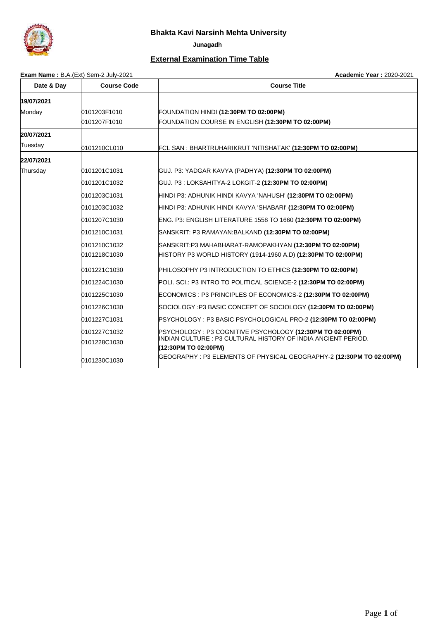

 **Junagadh**

# **External Examination Time Table**

**Exam Name :** B.A.(Ext) Sem-2 July-2021 **Academic Year :** 2020-2021

| Date & Day | <b>Course Code</b> | <b>Course Title</b>                                                                   |
|------------|--------------------|---------------------------------------------------------------------------------------|
| 19/07/2021 |                    |                                                                                       |
| Monday     | 0101203F1010       | FOUNDATION HINDI (12:30PM TO 02:00PM)                                                 |
|            | 0101207F1010       | FOUNDATION COURSE IN ENGLISH (12:30PM TO 02:00PM)                                     |
| 20/07/2021 |                    |                                                                                       |
| Tuesday    | 0101210CL010       | FCL SAN : BHARTRUHARIKRUT 'NITISHATAK' (12:30PM TO 02:00PM)                           |
| 22/07/2021 |                    |                                                                                       |
| Thursday   | 0101201C1031       | GUJ. P3: YADGAR KAVYA (PADHYA) (12:30PM TO 02:00PM)                                   |
|            | 0101201C1032       | GUJ. P3 : LOKSAHITYA-2 LOKGIT-2 (12:30PM TO 02:00PM)                                  |
|            | 0101203C1031       | HINDI P3: ADHUNIK HINDI KAVYA 'NAHUSH' <b>(12:30PM TO 02:00PM)</b>                    |
|            | 0101203C1032       | HINDI P3: ADHUNIK HINDI KAVYA 'SHABARI' <b>(12:30PM TO 02:00PM)</b>                   |
|            | 0101207C1030       | ENG. P3: ENGLISH LITERATURE 1558 TO 1660 (12:30PM TO 02:00PM)                         |
|            | 0101210C1031       | SANSKRIT: P3 RAMAYAN:BALKAND (12:30PM TO 02:00PM)                                     |
|            | 0101210C1032       | SANSKRIT:P3 MAHABHARAT-RAMOPAKHYAN <b>(12:30PM TO 02:00PM)</b>                        |
|            | 0101218C1030       | HISTORY P3 WORLD HISTORY (1914-1960 A.D) (12:30PM TO 02:00PM)                         |
|            | 0101221C1030       | PHILOSOPHY P3 INTRODUCTION TO ETHICS (12:30PM TO 02:00PM)                             |
|            | 0101224C1030       | POLI. SCI.: P3 INTRO TO POLITICAL SCIENCE-2 (12:30PM TO 02:00PM)                      |
|            | 0101225C1030       | ECONOMICS : P3 PRINCIPLES OF ECONOMICS-2 (12:30PM TO 02:00PM)                         |
|            | 0101226C1030       | SOCIOLOGY :P3 BASIC CONCEPT OF SOCIOLOGY (12:30PM TO 02:00PM)                         |
|            | 0101227C1031       | PSYCHOLOGY : P3 BASIC PSYCHOLOGICAL PRO-2 (12:30PM TO 02:00PM)                        |
|            | 0101227C1032       | PSYCHOLOGY: P3 COGNITIVE PSYCHOLOGY (12:30PM TO 02:00PM)                              |
|            | 0101228C1030       | INDIAN CULTURE : P3 CULTURAL HISTORY OF INDIA ANCIENT PERIOD.<br>(12:30PM TO 02:00PM) |
|            | 0101230C1030       | GEOGRAPHY : P3 ELEMENTS OF PHYSICAL GEOGRAPHY-2 (12:30PM TO 02:00PM)                  |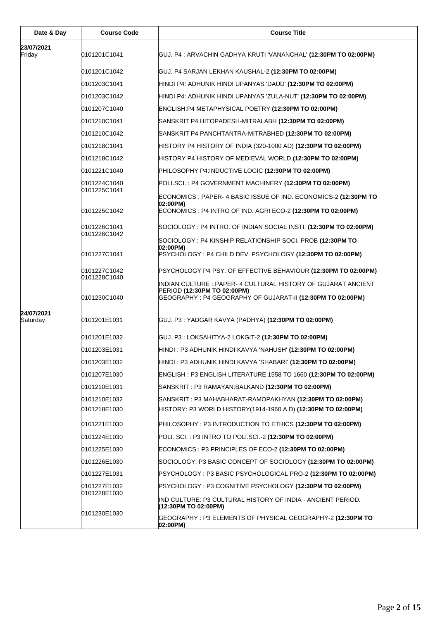| Date & Day             | <b>Course Code</b>           | <b>Course Title</b>                                                                                                                                         |
|------------------------|------------------------------|-------------------------------------------------------------------------------------------------------------------------------------------------------------|
| 23/07/2021             |                              |                                                                                                                                                             |
| Friday                 | 0101201C1041                 | GUJ. P4 : ARVACHIN GADHYA KRUTI 'VANANCHAL' (12:30PM TO 02:00PM)                                                                                            |
|                        | 0101201C1042                 | GUJ. P4 SARJAN LEKHAN KAUSHAL-2 (12:30PM TO 02:00PM)                                                                                                        |
|                        | 0101203C1041                 | HINDI P4: ADHUNIK HINDI UPANYAS 'DAUD' (12:30PM TO 02:00PM)                                                                                                 |
|                        | 0101203C1042                 | HINDI P4: ADHUNIK HINDI UPANYAS 'ZULA-NUT' (12:30PM TO 02:00PM)                                                                                             |
|                        | 0101207C1040                 | ENGLISH:P4 METAPHYSICAL POETRY (12:30PM TO 02:00PM)                                                                                                         |
|                        | 0101210C1041                 | SANSKRIT P4 HITOPADESH-MITRALABH (12:30PM TO 02:00PM)                                                                                                       |
|                        | 0101210C1042                 | SANSKRIT P4 PANCHTANTRA-MITRABHED (12:30PM TO 02:00PM)                                                                                                      |
|                        | 0101218C1041                 | HISTORY P4 HISTORY OF INDIA (320-1000 AD) (12:30PM TO 02:00PM)                                                                                              |
|                        | 0101218C1042                 | HISTORY P4 HISTORY OF MEDIEVAL WORLD (12:30PM TO 02:00PM)                                                                                                   |
|                        | 0101221C1040                 | PHILOSOPHY P4:INDUCTIVE LOGIC (12:30PM TO 02:00PM)                                                                                                          |
|                        | 0101224C1040                 | POLI.SCI.: P4 GOVERNMENT MACHINERY (12:30PM TO 02:00PM)                                                                                                     |
|                        | 0101225C1041                 | ECONOMICS : PAPER- 4 BASIC ISSUE OF IND. ECONOMICS-2 (12:30PM TO                                                                                            |
|                        | 0101225C1042                 | 02:00PM)<br>ECONOMICS: P4 INTRO OF IND. AGRI ECO-2 (12:30PM TO 02:00PM)                                                                                     |
|                        | 0101226C1041                 | SOCIOLOGY : P4 INTRO. OF INDIAN SOCIAL INSTI. (12:30PM TO 02:00PM)                                                                                          |
|                        | 0101226C1042                 | SOCIOLOGY : P4 KINSHIP RELATIONSHIP SOCI. PROB (12:30PM TO                                                                                                  |
|                        | 0101227C1041                 | 02:00PM)<br>PSYCHOLOGY: P4 CHILD DEV. PSYCHOLOGY (12:30PM TO 02:00PM)                                                                                       |
|                        | 0101227C1042                 | PSYCHOLOGY P4 PSY. OF EFFECTIVE BEHAVIOUR (12:30PM TO 02:00PM)                                                                                              |
|                        | 0101228C1040<br>0101230C1040 | INDIAN CULTURE : PAPER- 4 CULTURAL HISTORY OF GUJARAT ANCIENT<br>PERIOD (12:30PM TO 02:00PM)<br>GEOGRAPHY : P4 GEOGRAPHY OF GUJARAT-II (12:30PM TO 02:00PM) |
|                        |                              |                                                                                                                                                             |
| 24/07/2021<br>Saturday | 0101201E1031                 | GUJ. P3 : YADGAR KAVYA (PADHYA) (12:30PM TO 02:00PM)                                                                                                        |
|                        | 0101201E1032                 | GUJ. P3 : LOKSAHITYA-2 LOKGIT-2 (12:30PM TO 02:00PM)                                                                                                        |
|                        | 0101203E1031                 | HINDI: P3 ADHUNIK HINDI KAVYA 'NAHUSH' (12:30PM TO 02:00PM)                                                                                                 |
|                        | 0101203E1032                 | HINDI : P3 ADHUNIK HINDI KAVYA 'SHABARI' <b>(12:30PM TO 02:00PM)</b>                                                                                        |
|                        | 0101207E1030                 | ENGLISH : P3 ENGLISH LITERATURE 1558 TO 1660 (12:30PM TO 02:00PM)                                                                                           |
|                        | 0101210E1031                 | SANSKRIT : P3 RAMAYAN:BALKAND (12:30PM TO 02:00PM)                                                                                                          |
|                        | 0101210E1032                 | SANSKRIT: P3 MAHABHARAT-RAMOPAKHYAN (12:30PM TO 02:00PM)                                                                                                    |
|                        | 0101218E1030                 | HISTORY: P3 WORLD HISTORY(1914-1960 A.D) (12:30PM TO 02:00PM)                                                                                               |
|                        | 0101221E1030                 | PHILOSOPHY : P3 INTRODUCTION TO ETHICS (12:30PM TO 02:00PM)                                                                                                 |
|                        | 0101224E1030                 | POLI. SCI.: P3 INTRO TO POLI.SCI.-2 (12:30PM TO 02:00PM)                                                                                                    |
|                        | 0101225E1030                 | ECONOMICS : P3 PRINCIPLES OF ECO-2 (12:30PM TO 02:00PM)                                                                                                     |
|                        | 0101226E1030                 | SOCIOLOGY: P3 BASIC CONCEPT OF SOCIOLOGY (12:30PM TO 02:00PM)                                                                                               |
|                        | 0101227E1031                 | PSYCHOLOGY : P3 BASIC PSYCHOLOGICAL PRO-2 (12:30PM TO 02:00PM)                                                                                              |
|                        | 0101227E1032                 | PSYCHOLOGY : P3 COGNITIVE PSYCHOLOGY (12:30PM TO 02:00PM)                                                                                                   |
|                        | 0101228E1030                 | IND CULTURE: P3 CULTURAL HISTORY OF INDIA - ANCIENT PERIOD.<br>(12:30PM TO 02:00PM)                                                                         |
|                        | 0101230E1030                 | GEOGRAPHY : P3 ELEMENTS OF PHYSICAL GEOGRAPHY-2 (12:30PM TO<br>02:00PM)                                                                                     |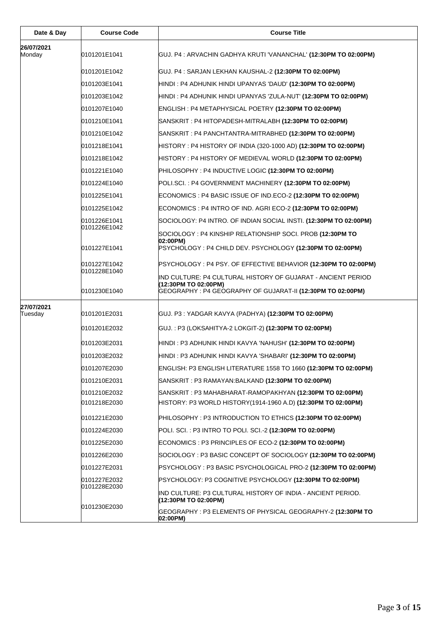| Date & Day            | <b>Course Code</b>           | <b>Course Title</b>                                                                                                                                |
|-----------------------|------------------------------|----------------------------------------------------------------------------------------------------------------------------------------------------|
| 26/07/2021<br>Monday  | 0101201E1041                 | GUJ. P4 : ARVACHIN GADHYA KRUTI 'VANANCHAL' (12:30PM TO 02:00PM)                                                                                   |
|                       | 0101201E1042                 | GUJ. P4 : SARJAN LEKHAN KAUSHAL-2 (12:30PM TO 02:00PM)                                                                                             |
|                       | 0101203E1041                 | HINDI : P4 ADHUNIK HINDI UPANYAS 'DAUD' <b>(12:30PM TO 02:00PM)</b>                                                                                |
|                       | 0101203E1042                 | HINDI : P4 ADHUNIK HINDI UPANYAS 'ZULA-NUT' <b>(12:30PM TO 02:00PM)</b>                                                                            |
|                       | 0101207E1040                 | ENGLISH : P4 METAPHYSICAL POETRY (12:30PM TO 02:00PM)                                                                                              |
|                       | 0101210E1041                 | SANSKRIT : P4 HITOPADESH-MITRALABH (12:30PM TO 02:00PM)                                                                                            |
|                       | 0101210E1042                 |                                                                                                                                                    |
|                       | 0101218E1041                 | HISTORY : P4 HISTORY OF INDIA (320-1000 AD) <b>(12:30PM TO 02:00PM)</b>                                                                            |
|                       | 0101218E1042                 | HISTORY : P4 HISTORY OF MEDIEVAL WORLD <b>(12:30PM TO 02:00PM)</b>                                                                                 |
|                       | 0101221E1040                 | PHILOSOPHY : P4 INDUCTIVE LOGIC (12:30PM TO 02:00PM)                                                                                               |
|                       | 0101224E1040                 | POLI.SCI. : P4 GOVERNMENT MACHINERY (12:30PM TO 02:00PM)                                                                                           |
|                       | 0101225E1041                 | ECONOMICS : P4 BASIC ISSUE OF IND.ECO-2 (12:30PM TO 02:00PM)                                                                                       |
|                       | 0101225E1042                 | ECONOMICS : P4 INTRO OF IND. AGRI ECO-2 (12:30PM TO 02:00PM)                                                                                       |
|                       | 0101226E1041                 | SOCIOLOGY: P4 INTRO. OF INDIAN SOCIAL INSTI. <b>(12:30PM TO 02:00PM)</b>                                                                           |
|                       | 0101226E1042                 | SOCIOLOGY : P4 KINSHIP RELATIONSHIP SOCI. PROB (12:30PM TO                                                                                         |
|                       | 0101227E1041                 | 02:00PM)<br>PSYCHOLOGY : P4 CHILD DEV. PSYCHOLOGY (12:30PM TO 02:00PM)                                                                             |
|                       | 0101227E1042<br>0101228E1040 | PSYCHOLOGY : P4 PSY. OF EFFECTIVE BEHAVIOR (12:30PM TO 02:00PM)                                                                                    |
|                       | 0101230E1040                 | IND CULTURE: P4 CULTURAL HISTORY OF GUJARAT - ANCIENT PERIOD<br>(12:30PM TO 02:00PM)<br>GEOGRAPHY: P4 GEOGRAPHY OF GUJARAT-II (12:30PM TO 02:00PM) |
| 27/07/2021<br>Tuesday | 0101201E2031                 | GUJ. P3 : YADGAR KAVYA (PADHYA) (12:30PM TO 02:00PM)                                                                                               |
|                       | 0101201E2032                 | GUJ. : P3 (LOKSAHITYA-2 LOKGIT-2) <b>(12:30PM TO 02:00PM)</b>                                                                                      |
|                       | 0101203E2031                 | HINDI : P3 ADHUNIK HINDI KAVYA 'NAHUSH' (12:30PM TO 02:00PM)                                                                                       |
|                       | 0101203E2032                 | HINDI : P3 ADHUNIK HINDI KAVYA 'SHABARI' <b>(12:30PM TO 02:00PM)</b>                                                                               |
|                       | 0101207E2030                 | ENGLISH: P3 ENGLISH LITERATURE 1558 TO 1660 ( <b>12:30PM TO 02:00PM)</b>                                                                           |
|                       | 0101210E2031                 | SANSKRIT : P3 RAMAYAN:BALKAND (12:30PM TO 02:00PM)                                                                                                 |
|                       | 0101210E2032                 | SANSKRIT : P3 MAHABHARAT-RAMOPAKHYAN <b>(12:30PM TO 02:00PM)</b>                                                                                   |
|                       | 0101218E2030                 | HISTORY: P3 WORLD HISTORY(1914-1960 A.D) (12:30PM TO 02:00PM)                                                                                      |
|                       | 0101221E2030                 | PHILOSOPHY: P3 INTRODUCTION TO ETHICS (12:30PM TO 02:00PM)                                                                                         |
|                       | 0101224E2030                 | POLI. SCI. : P3 INTRO TO POLI. SCI.-2 (12:30PM TO 02:00PM)                                                                                         |
|                       | 0101225E2030                 | ECONOMICS : P3 PRINCIPLES OF ECO-2 (12:30PM TO 02:00PM)                                                                                            |
|                       | 0101226E2030                 | SOCIOLOGY : P3 BASIC CONCEPT OF SOCIOLOGY (12:30PM TO 02:00PM)                                                                                     |
|                       | 0101227E2031                 | PSYCHOLOGY : P3 BASIC PSYCHOLOGICAL PRO-2 (12:30PM TO 02:00PM)                                                                                     |
|                       | 0101227E2032                 | PSYCHOLOGY: P3 COGNITIVE PSYCHOLOGY (12:30PM TO 02:00PM)                                                                                           |
|                       | 0101228E2030                 | IND CULTURE: P3 CULTURAL HISTORY OF INDIA - ANCIENT PERIOD.<br>(12:30PM TO 02:00PM)                                                                |
|                       | 0101230E2030                 | GEOGRAPHY : P3 ELEMENTS OF PHYSICAL GEOGRAPHY-2 (12:30PM TO<br>02:00PM)                                                                            |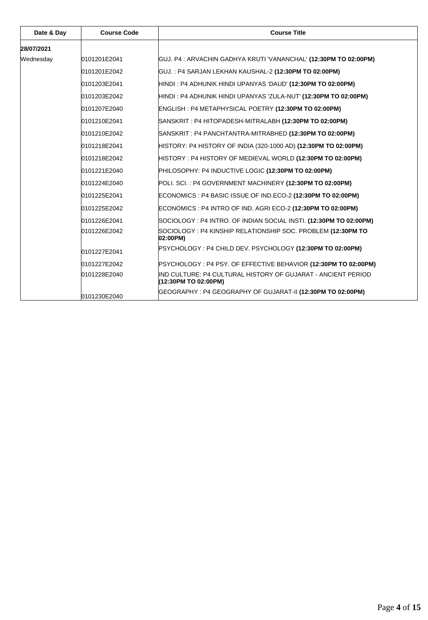| Date & Day | <b>Course Code</b> | <b>Course Title</b>                                                                  |
|------------|--------------------|--------------------------------------------------------------------------------------|
| 28/07/2021 |                    |                                                                                      |
| Wednesday  | 0101201E2041       | GUJ. P4 : ARVACHIN GADHYA KRUTI 'VANANCHAL' (12:30PM TO 02:00PM)                     |
|            | 0101201E2042       | GUJ.: P4 SARJAN LEKHAN KAUSHAL-2 (12:30PM TO 02:00PM)                                |
|            | 0101203E2041       | HINDI : P4 ADHUNIK HINDI UPANYAS 'DAUD' (12:30PM TO 02:00PM)                         |
|            | 0101203E2042       | HINDI : P4 ADHUNIK HINDI UPANYAS 'ZULA-NUT' (12:30PM TO 02:00PM)                     |
|            | 0101207E2040       | ENGLISH : P4 METAPHYSICAL POETRY (12:30PM TO 02:00PM)                                |
|            | 0101210E2041       | SANSKRIT : P4 HITOPADESH-MITRALABH (12:30PM TO 02:00PM)                              |
|            | 0101210E2042       | SANSKRIT : P4 PANCHTANTRA-MITRABHED <b>(12:30PM TO 02:00PM)</b>                      |
|            | 0101218E2041       | HISTORY: P4 HISTORY OF INDIA (320-1000 AD) (12:30PM TO 02:00PM)                      |
|            | 0101218E2042       | HISTORY : P4 HISTORY OF MEDIEVAL WORLD (12:30PM TO 02:00PM)                          |
|            | 0101221E2040       | PHILOSOPHY: P4 INDUCTIVE LOGIC (12:30PM TO 02:00PM)                                  |
|            | 0101224E2040       | POLI. SCI.: P4 GOVERNMENT MACHINERY (12:30PM TO 02:00PM)                             |
|            | 0101225E2041       | ECONOMICS : P4 BASIC ISSUE OF IND.ECO-2 (12:30PM TO 02:00PM)                         |
|            | 0101225E2042       | ECONOMICS : P4 INTRO OF IND. AGRI ECO-2 (12:30PM TO 02:00PM)                         |
|            | 0101226E2041       | SOCIOLOGY : P4 INTRO. OF INDIAN SOCIAL INSTI. <b>(12:30PM TO 02:00PM)</b>            |
|            | 0101226E2042       | SOCIOLOGY : P4 KINSHIP RELATIONSHIP SOC. PROBLEM (12:30PM TO<br>02:00PM)             |
|            | 0101227E2041       | PSYCHOLOGY : P4 CHILD DEV. PSYCHOLOGY (12:30PM TO 02:00PM)                           |
|            | 0101227E2042       | PSYCHOLOGY : P4 PSY. OF EFFECTIVE BEHAVIOR (12:30PM TO 02:00PM)                      |
|            | 0101228E2040       | IND CULTURE: P4 CULTURAL HISTORY OF GUJARAT - ANCIENT PERIOD<br>(12:30PM TO 02:00PM) |
|            | 0101230E2040       | GEOGRAPHY : P4 GEOGRAPHY OF GUJARAT-II (12:30PM TO 02:00PM)                          |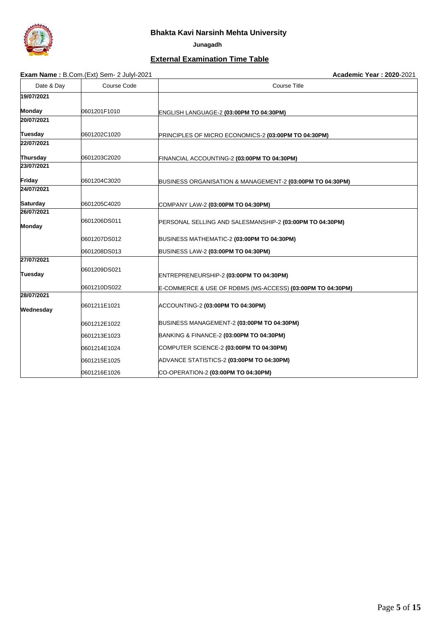

 **Junagadh**

#### **External Examination Time Table**

#### **Exam Name :** B.Com.(Ext) Sem- 2 Julyl-2021 **Academic Year : 2020**-2021

| Date & Day      | Course Code  | <b>Course Title</b>                                        |
|-----------------|--------------|------------------------------------------------------------|
| 19/07/2021      |              |                                                            |
| Monday          | 0601201F1010 | ENGLISH LANGUAGE-2 (03:00PM TO 04:30PM)                    |
| 20/07/2021      |              |                                                            |
| <b>Tuesday</b>  | 0601202C1020 | PRINCIPLES OF MICRO ECONOMICS-2 (03:00PM TO 04:30PM)       |
| 22/07/2021      |              |                                                            |
| <b>Thursday</b> | 0601203C2020 | FINANCIAL ACCOUNTING-2 (03:00PM TO 04:30PM)                |
| 23/07/2021      |              |                                                            |
| Friday          | 0601204C3020 | BUSINESS ORGANISATION & MANAGEMENT-2 (03:00PM TO 04:30PM)  |
| 24/07/2021      |              |                                                            |
| <b>Saturday</b> | 0601205C4020 | COMPANY LAW-2 (03:00PM TO 04:30PM)                         |
| 26/07/2021      |              |                                                            |
| Monday          | 0601206DS011 | PERSONAL SELLING AND SALESMANSHIP-2 (03:00PM TO 04:30PM)   |
|                 | 0601207DS012 | BUSINESS MATHEMATIC-2 (03:00PM TO 04:30PM)                 |
|                 | 0601208DS013 | BUSINESS LAW-2 (03:00PM TO 04:30PM)                        |
| 27/07/2021      |              |                                                            |
| <b>Tuesday</b>  | 0601209DS021 | ENTREPRENEURSHIP-2 (03:00PM TO 04:30PM)                    |
|                 | 0601210DS022 | E-COMMERCE & USE OF RDBMS (MS-ACCESS) (03:00PM TO 04:30PM) |
| 28/07/2021      |              |                                                            |
| Wednesday       | 0601211E1021 | ACCOUNTING-2 (03:00PM TO 04:30PM)                          |
|                 | 0601212E1022 | BUSINESS MANAGEMENT-2 (03:00PM TO 04:30PM)                 |
|                 | 0601213E1023 | BANKING & FINANCE-2 (03:00PM TO 04:30PM)                   |
|                 | 0601214E1024 | COMPUTER SCIENCE-2 (03:00PM TO 04:30PM)                    |
|                 | 0601215E1025 | ADVANCE STATISTICS-2 (03:00PM TO 04:30PM)                  |
|                 | 0601216E1026 | CO-OPERATION-2 (03:00PM TO 04:30PM)                        |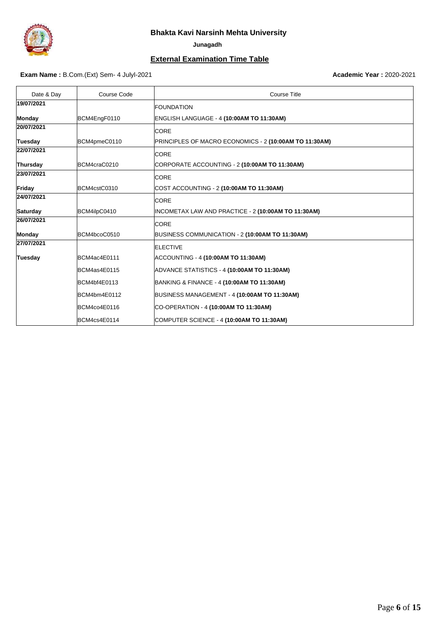

 **Junagadh**

#### **External Examination Time Table**

#### **Exam Name :** B.Com.(Ext) Sem- 4 Julyl-2021 **Academic Year : 2020-2021 Academic Year : 2020-2021**

| Date & Day      | Course Code  | Course Title                                           |
|-----------------|--------------|--------------------------------------------------------|
| 19/07/2021      |              | <b>FOUNDATION</b>                                      |
| <b>Monday</b>   | BCM4EngF0110 | ENGLISH LANGUAGE - 4 (10:00AM TO 11:30AM)              |
| 20/07/2021      |              | <b>CORE</b>                                            |
| <b>Tuesday</b>  | BCM4pmeC0110 | PRINCIPLES OF MACRO ECONOMICS - 2 (10:00AM TO 11:30AM) |
| 22/07/2021      |              | <b>CORE</b>                                            |
| Thursday        | BCM4craC0210 | CORPORATE ACCOUNTING - 2 (10:00AM TO 11:30AM)          |
| 23/07/2021      |              | <b>CORE</b>                                            |
| Friday          | BCM4cstC0310 | COST ACCOUNTING - 2 (10:00AM TO 11:30AM)               |
| 24/07/2021      |              | CORE                                                   |
| <b>Saturday</b> | BCM4ilpC0410 | INCOMETAX LAW AND PRACTICE - 2 (10:00AM TO 11:30AM)    |
| 26/07/2021      |              | <b>CORE</b>                                            |
| <b>Monday</b>   | BCM4bcoC0510 | BUSINESS COMMUNICATION - 2 (10:00AM TO 11:30AM)        |
| 27/07/2021      |              | <b>ELECTIVE</b>                                        |
| <b>Tuesday</b>  | BCM4ac4E0111 | ACCOUNTING - 4 (10:00AM TO 11:30AM)                    |
|                 | BCM4as4E0115 | ADVANCE STATISTICS - 4 (10:00AM TO 11:30AM)            |
|                 | BCM4bf4E0113 | BANKING & FINANCE - 4 (10:00AM TO 11:30AM)             |
|                 | BCM4bm4E0112 | BUSINESS MANAGEMENT - 4 (10:00AM TO 11:30AM)           |
|                 | BCM4co4E0116 | CO-OPERATION - 4 (10:00AM TO 11:30AM)                  |
|                 | BCM4cs4E0114 | COMPUTER SCIENCE - 4 (10:00AM TO 11:30AM)              |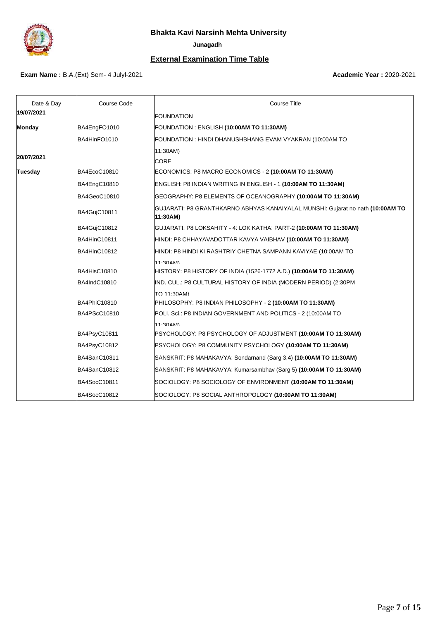

 **Junagadh**

# **External Examination Time Table**

### **Exam Name :** B.A.(Ext) Sem- 4 Julyl-2021 **Academic Year : 2020-2021 Academic Year : 2020-2021**

| Date & Day     | Course Code  | Course Title                                                                               |
|----------------|--------------|--------------------------------------------------------------------------------------------|
| 19/07/2021     |              | <b>FOUNDATION</b>                                                                          |
| Monday         | BA4EngFO1010 | FOUNDATION : ENGLISH (10:00AM TO 11:30AM)                                                  |
|                | BA4HinFO1010 | FOUNDATION : HINDI DHANUSHBHANG EVAM VYAKRAN (10:00AM TO                                   |
|                |              | 11:30AM)                                                                                   |
| 20/07/2021     |              | <b>CORE</b>                                                                                |
| <b>Tuesday</b> | BA4EcoC10810 | ECONOMICS: P8 MACRO ECONOMICS - 2 (10:00AM TO 11:30AM)                                     |
|                | BA4EngC10810 | ENGLISH: P8 INDIAN WRITING IN ENGLISH - 1 (10:00AM TO 11:30AM)                             |
|                | BA4GeoC10810 | GEOGRAPHY: P8 ELEMENTS OF OCEANOGRAPHY (10:00AM TO 11:30AM)                                |
|                | BA4GujC10811 | GUJARATI: P8 GRANTHKARNO ABHYAS KANAIYALAL MUNSHI: Gujarat no nath (10:00AM TO<br>11:30AM) |
|                | BA4GujC10812 | GUJARATI: P8 LOKSAHITY - 4: LOK KATHA: PART-2 (10:00AM TO 11:30AM)                         |
|                | BA4HinC10811 | HINDI: P8 CHHAYAVADOTTAR KAVYA VAIBHAV <b>(10:00AM TO 11:30AM)</b>                         |
|                | BA4HinC10812 | HINDI: P8 HINDI KI RASHTRIY CHETNA SAMPANN KAVIYAE (10:00AM TO                             |
|                |              | 11.30AM)                                                                                   |
|                | BA4HisC10810 | HISTORY: P8 HISTORY OF INDIA (1526-1772 A.D.) <b>(10:00AM TO 11:30AM)</b>                  |
|                | BA4IndC10810 | IND. CUL.: P8 CULTURAL HISTORY OF INDIA (MODERN PERIOD) (2:30PM                            |
|                |              | TO 11:30AM)                                                                                |
|                | BA4PhiC10810 | PHILOSOPHY: P8 INDIAN PHILOSOPHY - 2 (10:00AM TO 11:30AM)                                  |
|                | BA4PScC10810 | POLI. Sci.: P8 INDIAN GOVERNMENT AND POLITICS - 2 (10:00AM TO                              |
|                |              | $11.30$ AM)                                                                                |
|                | BA4PsyC10811 | PSYCHOLOGY: P8 PSYCHOLOGY OF ADJUSTMENT (10:00AM TO 11:30AM)                               |
|                | BA4PsyC10812 | PSYCHOLOGY: P8 COMMUNITY PSYCHOLOGY (10:00AM TO 11:30AM)                                   |
|                | BA4SanC10811 | SANSKRIT: P8 MAHAKAVYA: Sondarnand (Sarg 3,4) (10:00AM TO 11:30AM)                         |
|                | BA4SanC10812 | SANSKRIT: P8 MAHAKAVYA: Kumarsambhav (Sarg 5) (10:00AM TO 11:30AM)                         |
|                | BA4SocC10811 | SOCIOLOGY: P8 SOCIOLOGY OF ENVIRONMENT (10:00AM TO 11:30AM)                                |
|                | BA4SocC10812 | SOCIOLOGY: P8 SOCIAL ANTHROPOLOGY (10:00AM TO 11:30AM)                                     |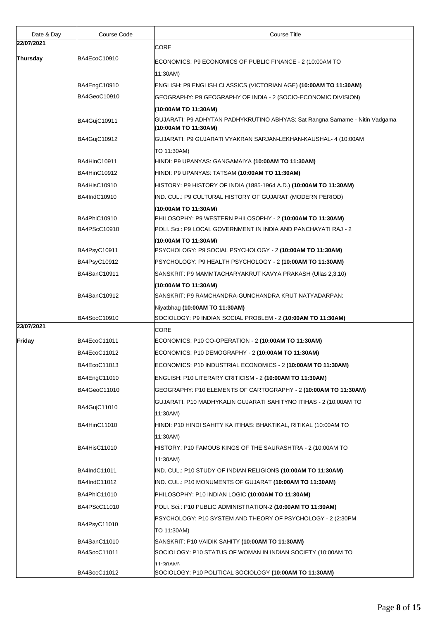| Date & Day | Course Code         | <b>Course Title</b>                                                                                  |
|------------|---------------------|------------------------------------------------------------------------------------------------------|
| 22/07/2021 |                     | CORE                                                                                                 |
| Thursday   | BA4EcoC10910        | ECONOMICS: P9 ECONOMICS OF PUBLIC FINANCE - 2 (10:00AM TO                                            |
|            |                     | 11:30AM)                                                                                             |
|            | BA4EngC10910        | ENGLISH: P9 ENGLISH CLASSICS (VICTORIAN AGE) (10:00AM TO 11:30AM)                                    |
|            | BA4GeoC10910        | GEOGRAPHY: P9 GEOGRAPHY OF INDIA - 2 (SOCIO-ECONOMIC DIVISION)                                       |
|            |                     | (10:00AM TO 11:30AM)                                                                                 |
|            | BA4GujC10911        | GUJARATI: P9 ADHYTAN PADHYKRUTINO ABHYAS: Sat Rangna Sarname - Nitin Vadgama<br>(10:00AM TO 11:30AM) |
|            | BA4GujC10912        | GUJARATI: P9 GUJARATI VYAKRAN SARJAN-LEKHAN-KAUSHAL- 4 (10:00AM                                      |
|            |                     | TO 11:30AM)                                                                                          |
|            | <b>BA4HinC10911</b> | HINDI: P9 UPANYAS: GANGAMAIYA (10:00AM TO 11:30AM)                                                   |
|            | BA4HinC10912        | HINDI: P9 UPANYAS: TATSAM (10:00AM TO 11:30AM)                                                       |
|            | <b>BA4HisC10910</b> | HISTORY: P9 HISTORY OF INDIA (1885-1964 A.D.) (10:00AM TO 11:30AM)                                   |
|            | BA4IndC10910        | IND. CUL.: P9 CULTURAL HISTORY OF GUJARAT (MODERN PERIOD)                                            |
|            |                     | (10:00AM TO 11:30AM)                                                                                 |
|            | BA4PhiC10910        | PHILOSOPHY: P9 WESTERN PHILOSOPHY - 2 (10:00AM TO 11:30AM)                                           |
|            | BA4PScC10910        | POLI. Sci.: P9 LOCAL GOVERNMENT IN INDIA AND PANCHAYATI RAJ - 2                                      |
|            |                     | (10:00AM TO 11:30AM)                                                                                 |
|            | BA4PsyC10911        | PSYCHOLOGY: P9 SOCIAL PSYCHOLOGY - 2 (10:00AM TO 11:30AM)                                            |
|            | BA4PsyC10912        | PSYCHOLOGY: P9 HEALTH PSYCHOLOGY - 2 (10:00AM TO 11:30AM)                                            |
|            | BA4SanC10911        | SANSKRIT: P9 MAMMTACHARYAKRUT KAVYA PRAKASH (Ullas 2,3,10)                                           |
|            |                     | (10:00AM TO 11:30AM)                                                                                 |
|            | BA4SanC10912        | SANSKRIT: P9 RAMCHANDRA-GUNCHANDRA KRUT NATYADARPAN:                                                 |
|            |                     | Niyatbhag (10:00AM TO 11:30AM)                                                                       |
| 23/07/2021 | BA4SocC10910        | SOCIOLOGY: P9 INDIAN SOCIAL PROBLEM - 2 (10:00AM TO 11:30AM)                                         |
|            |                     | <b>CORE</b>                                                                                          |
| Friday     | BA4EcoC11011        | ECONOMICS: P10 CO-OPERATION - 2 (10:00AM TO 11:30AM)                                                 |
|            | BA4EcoC11012        | ECONOMICS: P10 DEMOGRAPHY - 2 (10:00AM TO 11:30AM)                                                   |
|            | BA4EcoC11013        | ECONOMICS: P10 INDUSTRIAL ECONOMICS - 2 (10:00AM TO 11:30AM)                                         |
|            | BA4EngC11010        | ENGLISH: P10 LITERARY CRITICISM - 2 (10:00AM TO 11:30AM)                                             |
|            | BA4GeoC11010        | GEOGRAPHY: P10 ELEMENTS OF CARTOGRAPHY - 2 (10:00AM TO 11:30AM)                                      |
|            | BA4GujC11010        | GUJARATI: P10 MADHYKALIN GUJARATI SAHITYNO ITIHAS - 2 (10:00AM TO<br>11:30AM)                        |
|            | BA4HinC11010        | HINDI: P10 HINDI SAHITY KA ITIHAS: BHAKTIKAL, RITIKAL (10:00AM TO<br>11:30AM)                        |
|            | BA4HisC11010        | HISTORY: P10 FAMOUS KINGS OF THE SAURASHTRA - 2 (10:00AM TO<br>11:30AM)                              |
|            | BA4IndC11011        | IND. CUL.: P10 STUDY OF INDIAN RELIGIONS <b>(10:00AM TO 11:30AM)</b>                                 |
|            | BA4IndC11012        | IND. CUL.: P10 MONUMENTS OF GUJARAT (10:00AM TO 11:30AM)                                             |
|            | BA4PhiC11010        | PHILOSOPHY: P10 INDIAN LOGIC (10:00AM TO 11:30AM)                                                    |
|            | BA4PScC11010        | POLI. Sci.: P10 PUBLIC ADMINISTRATION-2 (10:00AM TO 11:30AM)                                         |
|            |                     |                                                                                                      |
|            | BA4PsyC11010        | PSYCHOLOGY: P10 SYSTEM AND THEORY OF PSYCHOLOGY - 2 (2:30PM<br>TO 11:30AM)                           |
|            | BA4SanC11010        | SANSKRIT: P10 VAIDIK SAHITY (10:00AM TO 11:30AM)                                                     |
|            | BA4SocC11011        | SOCIOLOGY: P10 STATUS OF WOMAN IN INDIAN SOCIETY (10:00AM TO                                         |
|            |                     | $11.30$ AM)                                                                                          |
|            | BA4SocC11012        | SOCIOLOGY: P10 POLITICAL SOCIOLOGY (10:00AM TO 11:30AM)                                              |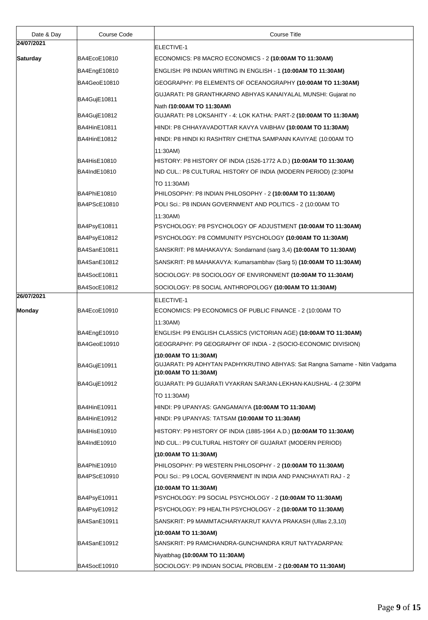| Date & Day      | Course Code         | <b>Course Title</b>                                                                                                          |
|-----------------|---------------------|------------------------------------------------------------------------------------------------------------------------------|
| 24/07/2021      |                     | ELECTIVE-1                                                                                                                   |
| <b>Saturday</b> | BA4EcoE10810        | ECONOMICS: P8 MACRO ECONOMICS - 2 (10:00AM TO 11:30AM)                                                                       |
|                 | BA4EngE10810        | ENGLISH: P8 INDIAN WRITING IN ENGLISH - 1 (10:00AM TO 11:30AM)                                                               |
|                 | BA4GeoE10810        | (GEOGRAPHY: P8 ELEMENTS OF OCEANOGRAPHY <b>(10:00AM TO 11:30AM)</b>                                                          |
|                 |                     | GUJARATI: P8 GRANTHKARNO ABHYAS KANAIYALAL MUNSHI: Gujarat no                                                                |
|                 | BA4GujE10811        | Nath (10:00AM TO 11:30AM)                                                                                                    |
|                 | BA4GujE10812        | GUJARATI: P8 LOKSAHITY - 4: LOK KATHA: PART-2 (10:00AM TO 11:30AM)                                                           |
|                 | BA4HinE10811        | HINDI: P8 CHHAYAVADOTTAR KAVYA VAIBHAV <b>(10:00AM TO 11:30AM)</b>                                                           |
|                 | BA4HinE10812        | HINDI: P8 HINDI KI RASHTRIY CHETNA SAMPANN KAVIYAE (10:00AM TO                                                               |
|                 |                     | 11:30AM)                                                                                                                     |
|                 | <b>BA4HisE10810</b> | HISTORY: P8 HISTORY OF INDIA (1526-1772 A.D.) <b>(10:00AM TO 11:30AM)</b>                                                    |
|                 | BA4IndE10810        | IND CUL.: P8 CULTURAL HISTORY OF INDIA (MODERN PERIOD) (2:30PM                                                               |
|                 |                     | TO 11:30AM)                                                                                                                  |
|                 | BA4PhiE10810        | PHILOSOPHY: P8 INDIAN PHILOSOPHY - 2 (10:00AM TO 11:30AM)                                                                    |
|                 | BA4PScE10810        | POLI Sci.: P8 INDIAN GOVERNMENT AND POLITICS - 2 (10:00AM TO                                                                 |
|                 |                     | 11:30AM)                                                                                                                     |
|                 | BA4PsyE10811        |                                                                                                                              |
|                 | BA4PsyE10812        | PSYCHOLOGY: P8 COMMUNITY PSYCHOLOGY (10:00AM TO 11:30AM)                                                                     |
|                 | BA4SanE10811        | SANSKRIT: P8 MAHAKAVYA: Sondarnand (sarg 3,4) (10:00AM TO 11:30AM)                                                           |
|                 | BA4SanE10812        | SANSKRIT: P8 MAHAKAVYA: Kumarsambhav (Sarg 5) (10:00AM TO 11:30AM)                                                           |
|                 | BA4SocE10811        | SOCIOLOGY: P8 SOCIOLOGY OF ENVIRONMENT (10:00AM TO 11:30AM)                                                                  |
|                 | BA4SocE10812        | SOCIOLOGY: P8 SOCIAL ANTHROPOLOGY (10:00AM TO 11:30AM)                                                                       |
| 26/07/2021      |                     | <b>ELECTIVE-1</b>                                                                                                            |
| <b>Monday</b>   | BA4EcoE10910        | ECONOMICS: P9 ECONOMICS OF PUBLIC FINANCE - 2 (10:00AM TO                                                                    |
|                 |                     | 11:30AM)                                                                                                                     |
|                 | BA4EngE10910        | ENGLISH: P9 ENGLISH CLASSICS (VICTORIAN AGE) (10:00AM TO 11:30AM)                                                            |
|                 | BA4GeoE10910        | GEOGRAPHY: P9 GEOGRAPHY OF INDIA - 2 (SOCIO-ECONOMIC DIVISION)                                                               |
|                 | BA4GujE10911        | (10:00AM TO 11:30AM)<br>GUJARATI: P9 ADHYTAN PADHYKRUTINO ABHYAS: Sat Rangna Sarname - Nitin Vadgama<br>(10:00AM TO 11:30AM) |
|                 | BA4GujE10912        | GUJARATI: P9 GUJARATI VYAKRAN SARJAN-LEKHAN-KAUSHAL- 4 (2:30PM                                                               |
|                 |                     | TO 11:30AM)                                                                                                                  |
|                 | BA4HinE10911        | HINDI: P9 UPANYAS: GANGAMAIYA (10:00AM TO 11:30AM)                                                                           |
|                 | BA4HinE10912        | HINDI: P9 UPANYAS: TATSAM (10:00AM TO 11:30AM)                                                                               |
|                 | BA4HisE10910        | HISTORY: P9 HISTORY OF INDIA (1885-1964 A.D.) <b>(10:00AM TO 11:30AM)</b>                                                    |
|                 | BA4IndE10910        | IND CUL.: P9 CULTURAL HISTORY OF GUJARAT (MODERN PERIOD)                                                                     |
|                 |                     | (10:00AM TO 11:30AM)                                                                                                         |
|                 | BA4PhiE10910        | PHILOSOPHY: P9 WESTERN PHILOSOPHY - 2 (10:00AM TO 11:30AM)                                                                   |
|                 | BA4PScE10910        | POLI Sci.: P9 LOCAL GOVERNMENT IN INDIA AND PANCHAYATI RAJ - 2                                                               |
|                 |                     | (10:00AM TO 11:30AM)                                                                                                         |
|                 | BA4PsyE10911        | PSYCHOLOGY: P9 SOCIAL PSYCHOLOGY - 2 (10:00AM TO 11:30AM)                                                                    |
|                 | BA4PsyE10912        | PSYCHOLOGY: P9 HEALTH PSYCHOLOGY - 2 (10:00AM TO 11:30AM)                                                                    |
|                 | BA4SanE10911        | SANSKRIT: P9 MAMMTACHARYAKRUT KAVYA PRAKASH (Ullas 2,3,10)                                                                   |
|                 |                     | (10:00AM TO 11:30AM)                                                                                                         |
|                 | BA4SanE10912        | SANSKRIT: P9 RAMCHANDRA-GUNCHANDRA KRUT NATYADARPAN:                                                                         |
|                 |                     | Niyatbhag (10:00AM TO 11:30AM)                                                                                               |
|                 | BA4SocE10910        | SOCIOLOGY: P9 INDIAN SOCIAL PROBLEM - 2 (10:00AM TO 11:30AM)                                                                 |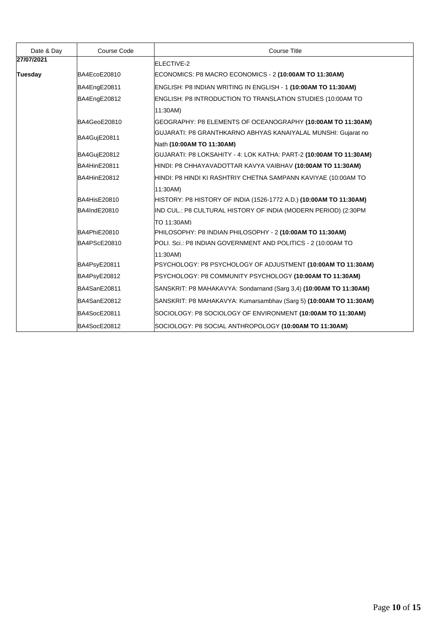| Date & Day     | Course Code         | <b>Course Title</b>                                                       |
|----------------|---------------------|---------------------------------------------------------------------------|
| 27/07/2021     |                     | ELECTIVE-2                                                                |
| <b>Tuesday</b> | BA4EcoE20810        | ECONOMICS: P8 MACRO ECONOMICS - 2 (10:00AM TO 11:30AM)                    |
|                | BA4EngE20811        | ENGLISH: P8 INDIAN WRITING IN ENGLISH - 1 (10:00AM TO 11:30AM)            |
|                | BA4EngE20812        | ENGLISH: P8 INTRODUCTION TO TRANSLATION STUDIES (10:00AM TO               |
|                |                     | 11:30AM)                                                                  |
|                | BA4GeoE20810        | GEOGRAPHY: P8 ELEMENTS OF OCEANOGRAPHY (10:00AM TO 11:30AM)               |
|                | BA4GujE20811        | GUJARATI: P8 GRANTHKARNO ABHYAS KANAIYALAL MUNSHI: Gujarat no             |
|                |                     | Nath (10:00AM TO 11:30AM)                                                 |
|                | BA4GujE20812        | GUJARATI: P8 LOKSAHITY - 4: LOK KATHA: PART-2 <b>(10:00AM TO 11:30AM)</b> |
|                | <b>BA4HinE20811</b> | HINDI: P8 CHHAYAVADOTTAR KAVYA VAIBHAV (10:00AM TO 11:30AM)               |
|                | <b>BA4HinE20812</b> | HINDI: P8 HINDI KI RASHTRIY CHETNA SAMPANN KAVIYAE (10:00AM TO            |
|                |                     | 11:30AM)                                                                  |
|                | <b>BA4HisE20810</b> | HISTORY: P8 HISTORY OF INDIA (1526-1772 A.D.) (10:00AM TO 11:30AM)        |
|                | BA4IndE20810        | IND CUL.: P8 CULTURAL HISTORY OF INDIA (MODERN PERIOD) (2:30PM            |
|                |                     | TO 11:30AM)                                                               |
|                | BA4PhiE20810        | PHILOSOPHY: P8 INDIAN PHILOSOPHY - 2 (10:00AM TO 11:30AM)                 |
|                | BA4PScE20810        | POLI. Sci.: P8 INDIAN GOVERNMENT AND POLITICS - 2 (10:00AM TO             |
|                |                     | 11:30AM)                                                                  |
|                | BA4PsyE20811        | PSYCHOLOGY: P8 PSYCHOLOGY OF ADJUSTMENT (10:00AM TO 11:30AM)              |
|                | BA4PsyE20812        | PSYCHOLOGY: P8 COMMUNITY PSYCHOLOGY (10:00AM TO 11:30AM)                  |
|                | BA4SanE20811        | SANSKRIT: P8 MAHAKAVYA: Sondarnand (Sarg 3,4) (10:00AM TO 11:30AM)        |
|                | BA4SanE20812        | SANSKRIT: P8 MAHAKAVYA: Kumarsambhav (Sarg 5) (10:00AM TO 11:30AM)        |
|                | BA4SocE20811        | SOCIOLOGY: P8 SOCIOLOGY OF ENVIRONMENT (10:00AM TO 11:30AM)               |
|                | BA4SocE20812        | SOCIOLOGY: P8 SOCIAL ANTHROPOLOGY (10:00AM TO 11:30AM)                    |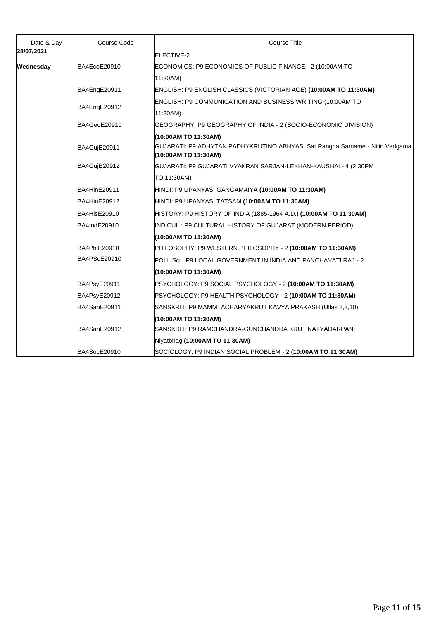| Date & Day | Course Code  | <b>Course Title</b>                                                                                  |
|------------|--------------|------------------------------------------------------------------------------------------------------|
| 28/07/2021 |              | ELECTIVE-2                                                                                           |
| Wednesday  | BA4EcoE20910 | ECONOMICS: P9 ECONOMICS OF PUBLIC FINANCE - 2 (10:00AM TO                                            |
|            |              | 11:30AM)                                                                                             |
|            | BA4EngE20911 | ENGLISH: P9 ENGLISH CLASSICS (VICTORIAN AGE) (10:00AM TO 11:30AM)                                    |
|            | BA4EngE20912 | ENGLISH: P9 COMMUNICATION AND BUSINESS WRITING (10:00AM TO                                           |
|            |              | 11:30AM)                                                                                             |
|            | BA4GeoE20910 | GEOGRAPHY: P9 GEOGRAPHY OF INDIA - 2 (SOCIO-ECONOMIC DIVISION)                                       |
|            |              | (10:00AM TO 11:30AM)                                                                                 |
|            | BA4GujE20911 | GUJARATI: P9 ADHYTAN PADHYKRUTINO ABHYAS: Sat Rangna Sarname - Nitin Vadgama<br>(10:00AM TO 11:30AM) |
|            | BA4GujE20912 | GUJARATI: P9 GUJARATI VYAKRAN SARJAN-LEKHAN-KAUSHAL- 4 (2:30PM                                       |
|            |              | TO 11:30AM)                                                                                          |
|            | BA4HinE20911 | HINDI: P9 UPANYAS: GANGAMAIYA (10:00AM TO 11:30AM)                                                   |
|            | BA4HinE20912 | HINDI: P9 UPANYAS: TATSAM (10:00AM TO 11:30AM)                                                       |
|            | BA4HisE20910 | HISTORY: P9 HISTORY OF INDIA (1885-1964 A.D.) (10:00AM TO 11:30AM)                                   |
|            | BA4IndE20910 | IND CUL.: P9 CULTURAL HISTORY OF GUJARAT (MODERN PERIOD)                                             |
|            |              | (10:00AM TO 11:30AM)                                                                                 |
|            | BA4PhiE20910 | PHILOSOPHY: P9 WESTERN PHILOSOPHY - 2 (10:00AM TO 11:30AM)                                           |
|            | BA4PScE20910 | POLI. Sci.: P9 LOCAL GOVERNMENT IN INDIA AND PANCHAYATI RAJ - 2                                      |
|            |              | (10:00AM TO 11:30AM)                                                                                 |
|            | BA4PsyE20911 | PSYCHOLOGY: P9 SOCIAL PSYCHOLOGY - 2 (10:00AM TO 11:30AM)                                            |
|            | BA4PsyE20912 | PSYCHOLOGY: P9 HEALTH PSYCHOLOGY - 2 (10:00AM TO 11:30AM)                                            |
|            | BA4SanE20911 | SANSKRIT: P9 MAMMTACHARYAKRUT KAVYA PRAKASH (Ullas 2,3,10)                                           |
|            |              | (10:00AM TO 11:30AM)                                                                                 |
|            | BA4SanE20912 | SANSKRIT: P9 RAMCHANDRA-GUNCHANDRA KRUT NATYADARPAN:                                                 |
|            |              | Niyatbhag (10:00AM TO 11:30AM)                                                                       |
|            | BA4SocE20910 | SOCIOLOGY: P9 INDIAN SOCIAL PROBLEM - 2 (10:00AM TO 11:30AM)                                         |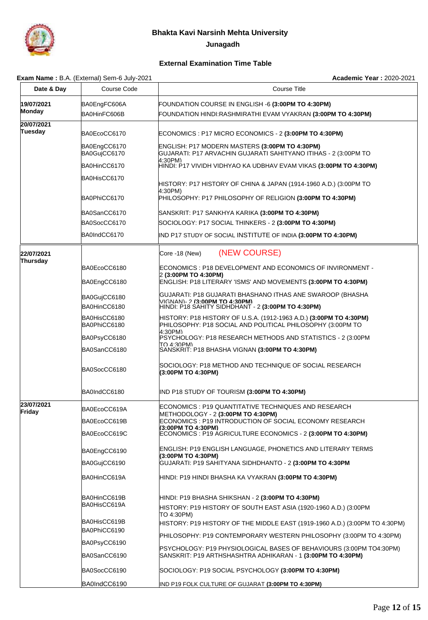

 **Junagadh**

## **External Examination Time Table**

#### **Exam Name :** B.A. (External) Sem-6 July-2021 **Academic Year : 2020-2021 Academic Year : 2020-2021**

| Date & Day                   | $x$ and $\alpha$ and $\alpha$ . $\beta$ is the set of $\alpha$ in $\alpha$ is the set of $\alpha$<br>Course Code | <b>Course Title</b>                                                                                                                         |
|------------------------------|------------------------------------------------------------------------------------------------------------------|---------------------------------------------------------------------------------------------------------------------------------------------|
| 19/07/2021<br><b>Monday</b>  | BA0EngFC606A                                                                                                     | FOUNDATION COURSE IN ENGLISH -6 (3:00PM TO 4:30PM)                                                                                          |
|                              | BA0HinFC606B                                                                                                     | FOUNDATION HINDI:RASHMIRATHI EVAM VYAKRAN (3:00PM TO 4:30PM)                                                                                |
| 20/07/2021<br><b>Tuesday</b> | BA0EcoCC6170                                                                                                     | ECONOMICS : P17 MICRO ECONOMICS - 2 (3:00PM TO 4:30PM)                                                                                      |
|                              | BA0EngCC6170<br>BA0GujCC6170                                                                                     | ENGLISH: P17 MODERN MASTERS (3:00PM TO 4:30PM)<br>GUJARATI: P17 ARVACHIN GUJARATI SAHITYANO ITIHAS - 2 (3:00PM TO                           |
|                              | BA0HinCC6170                                                                                                     | 4:30PM)<br>HINDI: P17 VIVIDH VIDHYAO KA UDBHAV EVAM VIKAS <b>(3:00PM TO 4:30PM)</b>                                                         |
|                              | BA0HisCC6170                                                                                                     | HISTORY: P17 HISTORY OF CHINA & JAPAN (1914-1960 A.D.) (3:00PM TO                                                                           |
|                              | BA0PhiCC6170                                                                                                     | 4:30PM)<br>PHILOSOPHY: P17 PHILOSOPHY OF RELIGION (3:00PM TO 4:30PM)                                                                        |
|                              | BA0SanCC6170                                                                                                     | SANSKRIT: P17 SANKHYA KARIKA (3:00PM TO 4:30PM)                                                                                             |
|                              | BA0SocCC6170                                                                                                     | SOCIOLOGY: P17 SOCIAL THINKERS - 2 (3:00PM TO 4:30PM)                                                                                       |
|                              | BA0IndCC6170                                                                                                     | IND P17 STUDY OF SOCIAL INSTITUTE OF INDIA (3:00PM TO 4:30PM)                                                                               |
| 22/07/2021                   |                                                                                                                  | (NEW COURSE)<br>Core -18 (New)                                                                                                              |
| Thursday                     | BA0EcoCC6180                                                                                                     | ECONOMICS : P18 DEVELOPMENT AND ECONOMICS OF INVIRONMENT -                                                                                  |
|                              | BA0EngCC6180                                                                                                     | 2 (3:00PM TO 4:30PM)<br>ENGLISH: P18 LITERARY 'ISMS' AND MOVEMENTS (3:00PM TO 4:30PM)                                                       |
|                              | BA0GujCC6180                                                                                                     | GUJARATI: P18 GUJARATI BHASHANO ITHAS ANE SWAROOP (BHASHA                                                                                   |
|                              | BA0HinCC6180                                                                                                     | VIGNAN)- 2 (3:00PM TO 4:30PM)<br>HINDI: P18 SAHITY SIDHDHANT - 2 (3:00PM TO 4:30PM)                                                         |
|                              |                                                                                                                  |                                                                                                                                             |
|                              | BA0HisCC6180<br>BA0PhiCC6180                                                                                     | HISTORY: P18 HISTORY OF U.S.A. (1912-1963 A.D.) (3:00PM TO 4:30PM)<br>PHILOSOPHY: P18 SOCIAL AND POLITICAL PHILOSOPHY (3:00PM TO<br>4:30PM) |
|                              | BA0PsyCC6180                                                                                                     | PSYCHOLOGY: P18 RESEARCH METHODS AND STATISTICS - 2 (3:00PM                                                                                 |
|                              | BA0SanCC6180                                                                                                     | TO 4:30PM)<br>SANSKRIT: P18 BHASHA VIGNAN (3:00PM TO 4:30PM)                                                                                |
|                              | BA0SocCC6180                                                                                                     | SOCIOLOGY: P18 METHOD AND TECHNIQUE OF SOCIAL RESEARCH<br>(3:00PM TO 4:30PM)                                                                |
|                              | BA0IndCC6180                                                                                                     | IND P18 STUDY OF TOURISM (3:00PM TO 4:30PM)                                                                                                 |
| 23/07/2021<br>Friday         | BA0EcoCC619A                                                                                                     | ECONOMICS : P19 QUANTITATIVE TECHNIQUES AND RESEARCH<br>METHODOLOGY - 2 (3:00PM TO 4:30PM)                                                  |
|                              | BA0EcoCC619B                                                                                                     | ECONOMICS : P19 INTRODUCTION OF SOCIAL ECONOMY RESEARCH                                                                                     |
|                              | BA0EcoCC619C                                                                                                     | (3:00PM TO 4:30PM)<br>ECONOMICS : P19 AGRICULTURE ECONOMICS - 2 (3:00PM TO 4:30PM)                                                          |
|                              | BA0EngCC6190                                                                                                     | ENGLISH: P19 ENGLISH LANGUAGE, PHONETICS AND LITERARY TERMS<br>(3:00PM TO 4:30PM)                                                           |
|                              | BA0GujCC6190                                                                                                     | GUJARATI: P19 SAHITYANA SIDHDHANTO - 2 (3:00PM TO 4:30PM                                                                                    |
|                              | BA0HinCC619A                                                                                                     | HINDI: P19 HINDI BHASHA KA VYAKRAN <b>(3:00PM TO 4:30PM)</b>                                                                                |
|                              | BA0HinCC619B                                                                                                     | HINDI: P19 BHASHA SHIKSHAN - 2 <b>(3:00PM TO 4:30PM)</b>                                                                                    |
|                              | BA0HisCC619A                                                                                                     | HISTORY: P19 HISTORY OF SOUTH EAST ASIA (1920-1960 A.D.) (3:00PM<br>TO 4:30PM)                                                              |
|                              | BA0HisCC619B                                                                                                     | HISTORY: P19 HISTORY OF THE MIDDLE EAST (1919-1960 A.D.) (3:00PM TO 4:30PM)                                                                 |
|                              | BA0PhiCC6190                                                                                                     |                                                                                                                                             |
|                              | BA0PsyCC6190                                                                                                     | PHILOSOPHY: P19 CONTEMPORARY WESTERN PHILOSOPHY (3:00PM TO 4:30PM)<br>PSYCHOLOGY: P19 PHYSIOLOGICAL BASES OF BEHAVIOURS (3:00PM TO4:30PM)   |
|                              | BA0SanCC6190                                                                                                     | SANSKRIT: P19 ARTHSHASHTRA ADHIKARAN - 1 (3:00PM TO 4:30PM)                                                                                 |
|                              | BA0SocCC6190                                                                                                     | SOCIOLOGY: P19 SOCIAL PSYCHOLOGY (3:00PM TO 4:30PM)                                                                                         |
|                              | BA0IndCC6190                                                                                                     | IND P19 FOLK CULTURE OF GUJARAT (3:00PM TO 4:30PM)                                                                                          |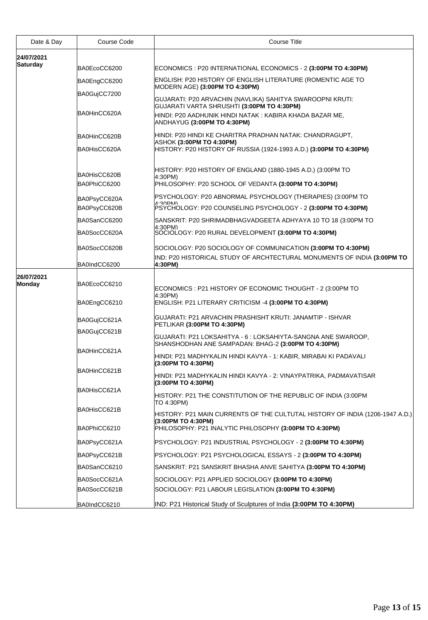| Date & Day                    | Course Code  | <b>Course Title</b>                                                                                                  |
|-------------------------------|--------------|----------------------------------------------------------------------------------------------------------------------|
| 24/07/2021<br><b>Saturday</b> |              |                                                                                                                      |
|                               | BA0EcoCC6200 | ECONOMICS : P20 INTERNATIONAL ECONOMICS - 2 (3:00PM TO 4:30PM)                                                       |
|                               | BA0EngCC6200 | ENGLISH: P20 HISTORY OF ENGLISH LITERATURE (ROMENTIC AGE TO<br>MODERN AGE) (3:00PM TO 4:30PM)                        |
|                               | BA0GujCC7200 | GUJARATI: P20 ARVACHIN (NAVLIKA) SAHITYA SWAROOPNI KRUTI:<br>GUJARATI VARTA SHRUSHTI (3:00PM TO 4:30PM)              |
|                               | BA0HinCC620A | HINDI: P20 AADHUNIK HINDI NATAK: KABIRA KHADA BAZAR ME,<br>ANDHAYUG (3:00PM TO 4:30PM)                               |
|                               | BA0HinCC620B | HINDI: P20 HINDI KE CHARITRA PRADHAN NATAK: CHANDRAGUPT,<br>ASHOK (3:00PM TO 4:30PM)                                 |
|                               | BA0HisCC620A | HISTORY: P20 HISTORY OF RUSSIA (1924-1993 A.D.) (3:00PM TO 4:30PM)                                                   |
|                               | BA0HisCC620B | HISTORY: P20 HISTORY OF ENGLAND (1880-1945 A.D.) (3:00PM TO<br>4:30PM)                                               |
|                               | BA0PhiCC6200 | PHILOSOPHY: P20 SCHOOL OF VEDANTA (3:00PM TO 4:30PM)                                                                 |
|                               | BA0PsyCC620A | PSYCHOLOGY: P20 ABNORMAL PSYCHOLOGY (THERAPIES) (3:00PM TO                                                           |
|                               | BA0PsyCC620B | 1.20DIM<br>PSYCHOLOGY: P20 COUNSELING PSYCHOLOGY - 2 (3:00PM TO 4:30PM)                                              |
|                               | BA0SanCC6200 | SANSKRIT: P20 SHRIMADBHAGVADGEETA ADHYAYA 10 TO 18 (3:00PM TO                                                        |
|                               | BA0SocCC620A | 4:30PM)<br>SOCIOLOGY: P20 RURAL DEVELOPMENT (3:00PM TO 4:30PM)                                                       |
|                               | BA0SocCC620B | SOCIOLOGY: P20 SOCIOLOGY OF COMMUNICATION (3:00PM TO 4:30PM)                                                         |
|                               | BA0IndCC6200 | IND: P20 HISTORICAL STUDY OF ARCHTECTURAL MONUMENTS OF INDIA <b>(3:00PM TO</b><br>4:30PM)                            |
| 26/07/2021<br><b>Monday</b>   | BA0EcoCC6210 | ECONOMICS : P21 HISTORY OF ECONOMIC THOUGHT - 2 (3:00PM TO                                                           |
|                               | BA0EngCC6210 | 4:30PM)<br>ENGLISH: P21 LITERARY CRITICISM -4 (3:00PM TO 4:30PM)                                                     |
|                               | BA0GujCC621A | GUJARATI: P21 ARVACHIN PRASHISHT KRUTI: JANAMTIP - ISHVAR<br>PETLIKAR (3:00PM TO 4:30PM)                             |
|                               | BA0GujCC621B | GUJARATI: P21 LOKSAHITYA - 6 : LOKSAHIYTA-SANGNA ANE SWAROOP.<br>SHANSHODHAN ANE SAMPADAN: BHAG-2 (3:00PM TO 4:30PM) |
|                               | BA0HinCC621A | HINDI: P21 MADHYKALIN HINDI KAVYA - 1: KABIR, MIRABAI KI PADAVALI<br>(3:00PM TO 4:30PM)                              |
|                               | BA0HinCC621B | HINDI: P21 MADHYKALIN HINDI KAVYA - 2: VINAYPATRIKA, PADMAVATISAR<br>(3:00PM TO 4:30PM)                              |
|                               | BA0HisCC621A | HISTORY: P21 THE CONSTITUTION OF THE REPUBLIC OF INDIA (3:00PM<br>TO 4:30PM)                                         |
|                               | BA0HisCC621B | HISTORY: P21 MAIN CURRENTS OF THE CULTUTAL HISTORY OF INDIA (1206-1947 A.D.)                                         |
|                               | BA0PhiCC6210 | (3:00PM TO 4:30PM)<br>PHILOSOPHY: P21 INALYTIC PHILOSOPHY (3:00PM TO 4:30PM)                                         |
|                               | BA0PsyCC621A | PSYCHOLOGY: P21 INDUSTRIAL PSYCHOLOGY - 2 (3:00PM TO 4:30PM)                                                         |
|                               | BA0PsyCC621B | PSYCHOLOGY: P21 PSYCHOLOGICAL ESSAYS - 2 <b>(3:00PM TO 4:30PM)</b>                                                   |
|                               | BA0SanCC6210 | SANSKRIT: P21 SANSKRIT BHASHA ANVE SAHITYA <b>(3:00PM TO 4:30PM)</b>                                                 |
|                               | BA0SocCC621A | SOCIOLOGY: P21 APPLIED SOCIOLOGY (3:00PM TO 4:30PM)                                                                  |
|                               | BA0SocCC621B | SOCIOLOGY: P21 LABOUR LEGISLATION (3:00PM TO 4:30PM)                                                                 |
|                               | BA0IndCC6210 | IND: P21 Historical Study of Sculptures of India (3:00PM TO 4:30PM)                                                  |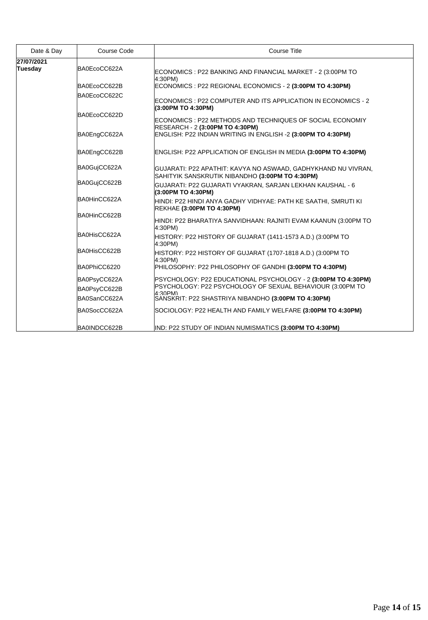| Date & Day                   | Course Code  | <b>Course Title</b>                                                                                              |
|------------------------------|--------------|------------------------------------------------------------------------------------------------------------------|
| 27/07/2021<br><b>Tuesday</b> | BA0EcoCC622A | ECONOMICS : P22 BANKING AND FINANCIAL MARKET - 2 (3:00PM TO<br>4:30PM)                                           |
|                              | BA0EcoCC622B | ECONOMICS : P22 REGIONAL ECONOMICS - 2 (3:00PM TO 4:30PM)                                                        |
|                              | BA0EcoCC622C | ECONOMICS : P22 COMPUTER AND ITS APPLICATION IN ECONOMICS - 2<br>(3:00PM TO 4:30PM)                              |
|                              | BA0EcoCC622D | ECONOMICS : P22 METHODS AND TECHNIQUES OF SOCIAL ECONOMIY<br>RESEARCH - 2 (3:00PM TO 4:30PM)                     |
|                              | BA0EngCC622A | ENGLISH: P22 INDIAN WRITING IN ENGLISH -2 (3:00PM TO 4:30PM)                                                     |
|                              | BA0EngCC622B | ENGLISH: P22 APPLICATION OF ENGLISH IN MEDIA (3:00PM TO 4:30PM)                                                  |
|                              | BA0GujCC622A | GUJARATI: P22 APATHIT: KAVYA NO ASWAAD, GADHYKHAND NU VIVRAN,<br>SAHITYIK SANSKRUTIK NIBANDHO (3:00PM TO 4:30PM) |
|                              | BA0GujCC622B | GUJARATI: P22 GUJARATI VYAKRAN, SARJAN LEKHAN KAUSHAL - 6<br>(3:00PM TO 4:30PM)                                  |
|                              | BA0HinCC622A | HINDI: P22 HINDI ANYA GADHY VIDHYAE: PATH KE SAATHI, SMRUTI KI<br>REKHAE (3:00PM TO 4:30PM)                      |
|                              | BA0HinCC622B | HINDI: P22 BHARATIYA SANVIDHAAN: RAJNITI EVAM KAANUN (3:00PM TO<br>4:30PM)                                       |
|                              | BA0HisCC622A | HISTORY: P22 HISTORY OF GUJARAT (1411-1573 A.D.) (3:00PM TO<br>4:30PM)                                           |
|                              | BA0HisCC622B | HISTORY: P22 HISTORY OF GUJARAT (1707-1818 A.D.) (3:00PM TO<br>4:30PM)                                           |
|                              | BA0PhiCC6220 | PHILOSOPHY: P22 PHILOSOPHY OF GANDHI (3:00PM TO 4:30PM)                                                          |
|                              | BA0PsyCC622A | PSYCHOLOGY: P22 EDUCATIONAL PSYCHOLOGY - 2 (3:00PM TO 4:30PM)                                                    |
|                              | BA0PsyCC622B | PSYCHOLOGY: P22 PSYCHOLOGY OF SEXUAL BEHAVIOUR (3:00PM TO<br>4:30PM)                                             |
|                              | BA0SanCC622A | SANSKRIT: P22 SHASTRIYA NIBANDHO (3:00PM TO 4:30PM)                                                              |
|                              | BA0SocCC622A | SOCIOLOGY: P22 HEALTH AND FAMILY WELFARE (3:00PM TO 4:30PM)                                                      |
|                              | BA0INDCC622B | IND: P22 STUDY OF INDIAN NUMISMATICS (3:00PM TO 4:30PM)                                                          |